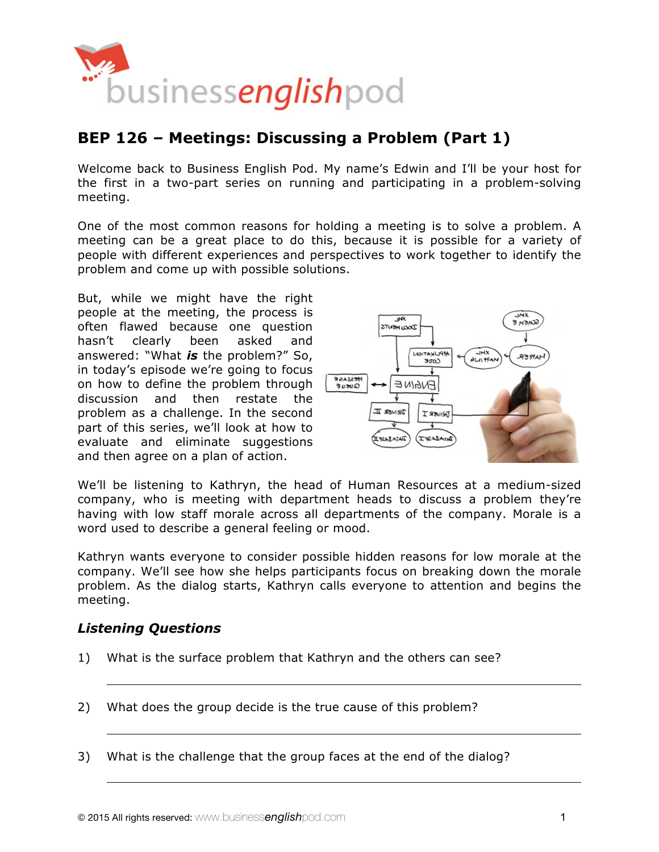

# **BEP 126 – Meetings: Discussing a Problem (Part 1)**

Welcome back to Business English Pod. My name's Edwin and I'll be your host for the first in a two-part series on running and participating in a problem-solving meeting.

One of the most common reasons for holding a meeting is to solve a problem. A meeting can be a great place to do this, because it is possible for a variety of people with different experiences and perspectives to work together to identify the problem and come up with possible solutions.

But, while we might have the right people at the meeting, the process is often flawed because one question hasn't clearly been asked and answered: "What *is* the problem?" So, in today's episode we're going to focus on how to define the problem through discussion and then restate the problem as a challenge. In the second part of this series, we'll look at how to evaluate and eliminate suggestions and then agree on a plan of action.



We'll be listening to Kathryn, the head of Human Resources at a medium-sized company, who is meeting with department heads to discuss a problem they're having with low staff morale across all departments of the company. Morale is a word used to describe a general feeling or mood.

Kathryn wants everyone to consider possible hidden reasons for low morale at the company. We'll see how she helps participants focus on breaking down the morale problem. As the dialog starts, Kathryn calls everyone to attention and begins the meeting.

### *Listening Questions*

- 1) What is the surface problem that Kathryn and the others can see?
- 2) What does the group decide is the true cause of this problem?
- 3) What is the challenge that the group faces at the end of the dialog?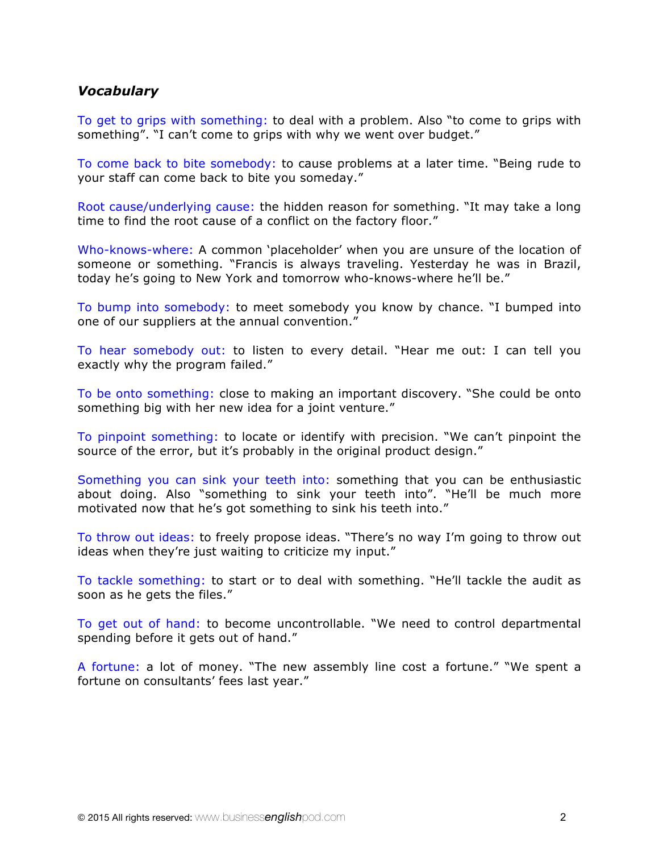### *Vocabulary*

To get to grips with something: to deal with a problem. Also "to come to grips with something". "I can't come to grips with why we went over budget."

To come back to bite somebody: to cause problems at a later time. "Being rude to your staff can come back to bite you someday."

Root cause/underlying cause: the hidden reason for something. "It may take a long time to find the root cause of a conflict on the factory floor."

Who-knows-where: A common 'placeholder' when you are unsure of the location of someone or something. "Francis is always traveling. Yesterday he was in Brazil, today he's going to New York and tomorrow who-knows-where he'll be."

To bump into somebody: to meet somebody you know by chance. "I bumped into one of our suppliers at the annual convention."

To hear somebody out: to listen to every detail. "Hear me out: I can tell you exactly why the program failed."

To be onto something: close to making an important discovery. "She could be onto something big with her new idea for a joint venture."

To pinpoint something: to locate or identify with precision. "We can't pinpoint the source of the error, but it's probably in the original product design."

Something you can sink your teeth into: something that you can be enthusiastic about doing. Also "something to sink your teeth into". "He'll be much more motivated now that he's got something to sink his teeth into."

To throw out ideas: to freely propose ideas. "There's no way I'm going to throw out ideas when they're just waiting to criticize my input."

To tackle something: to start or to deal with something. "He'll tackle the audit as soon as he gets the files."

To get out of hand: to become uncontrollable. "We need to control departmental spending before it gets out of hand."

A fortune: a lot of money. "The new assembly line cost a fortune." "We spent a fortune on consultants' fees last year."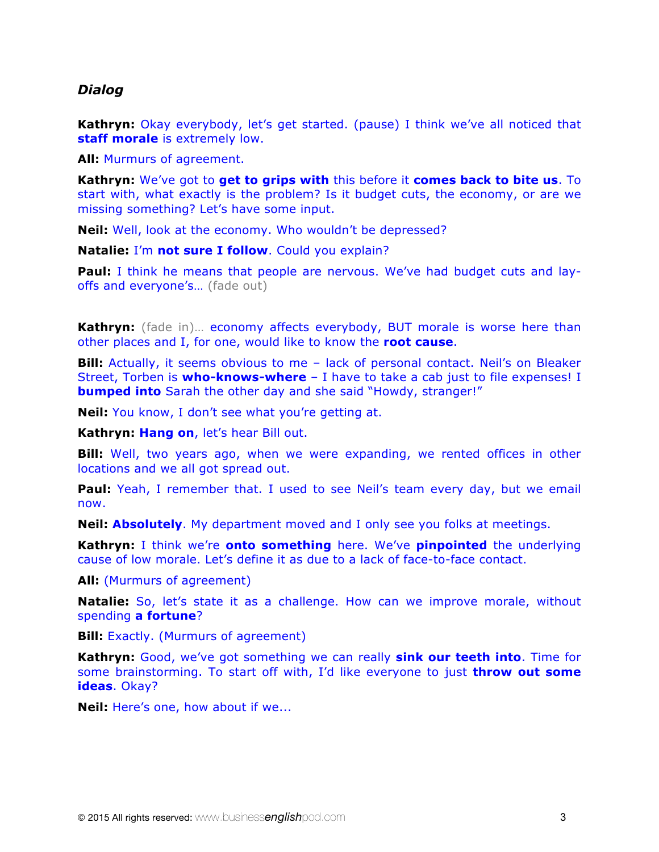### *Dialog*

**Kathryn:** Okay everybody, let's get started. (pause) I think we've all noticed that **staff morale** is extremely low.

**All:** Murmurs of agreement.

**Kathryn:** We've got to **get to grips with** this before it **comes back to bite us**. To start with, what exactly is the problem? Is it budget cuts, the economy, or are we missing something? Let's have some input.

**Neil:** Well, look at the economy. Who wouldn't be depressed?

**Natalie:** I'm **not sure I follow**. Could you explain?

**Paul:** I think he means that people are nervous. We've had budget cuts and layoffs and everyone's... (fade out)

Kathryn: (fade in)... economy affects everybody, BUT morale is worse here than other places and I, for one, would like to know the **root cause**.

**Bill:** Actually, it seems obvious to me - lack of personal contact. Neil's on Bleaker Street, Torben is **who-knows-where** – I have to take a cab just to file expenses! I **bumped into** Sarah the other day and she said "Howdy, stranger!"

**Neil:** You know, I don't see what you're getting at.

**Kathryn: Hang on**, let's hear Bill out.

**Bill:** Well, two years ago, when we were expanding, we rented offices in other locations and we all got spread out.

**Paul:** Yeah, I remember that. I used to see Neil's team every day, but we email now.

**Neil: Absolutely**. My department moved and I only see you folks at meetings.

**Kathryn:** I think we're **onto something** here. We've **pinpointed** the underlying cause of low morale. Let's define it as due to a lack of face-to-face contact.

**All:** (Murmurs of agreement)

**Natalie:** So, let's state it as a challenge. How can we improve morale, without spending **a fortune**?

**Bill:** Exactly. (Murmurs of agreement)

**Kathryn:** Good, we've got something we can really **sink our teeth into**. Time for some brainstorming. To start off with, I'd like everyone to just **throw out some ideas**. Okay?

**Neil:** Here's one, how about if we...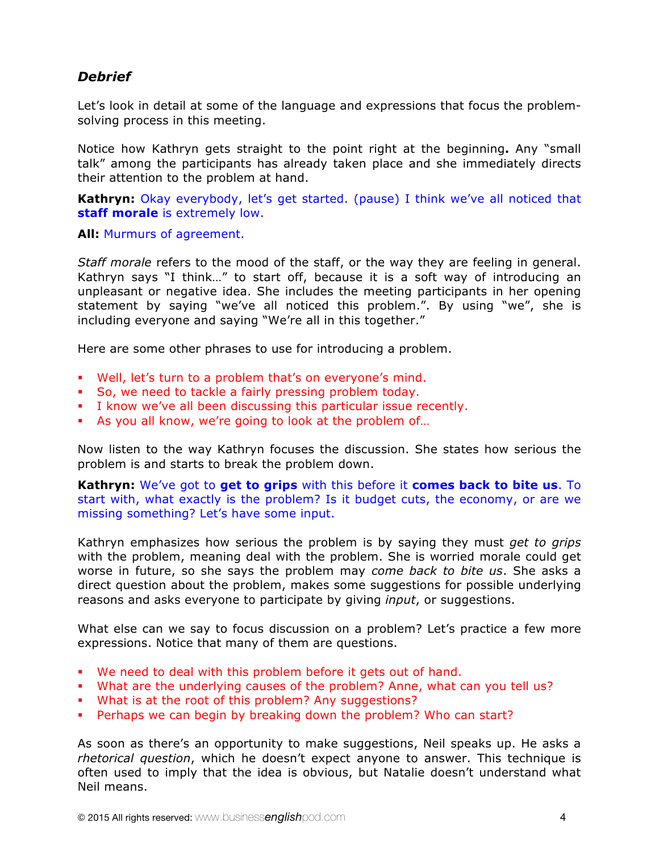## *Debrief*

Let's look in detail at some of the language and expressions that focus the problemsolving process in this meeting.

Notice how Kathryn gets straight to the point right at the beginning**.** Any "small talk" among the participants has already taken place and she immediately directs their attention to the problem at hand.

**Kathryn:** Okay everybody, let's get started. (pause) I think we've all noticed that **staff morale** is extremely low.

**All:** Murmurs of agreement.

*Staff morale* refers to the mood of the staff, or the way they are feeling in general. Kathryn says "I think…" to start off, because it is a soft way of introducing an unpleasant or negative idea. She includes the meeting participants in her opening statement by saying "we've all noticed this problem.". By using "we", she is including everyone and saying "We're all in this together."

Here are some other phrases to use for introducing a problem.

- § Well, let's turn to a problem that's on everyone's mind.
- § So, we need to tackle a fairly pressing problem today.
- § I know we've all been discussing this particular issue recently.
- **•** As you all know, we're going to look at the problem of...

Now listen to the way Kathryn focuses the discussion. She states how serious the problem is and starts to break the problem down.

**Kathryn:** We've got to **get to grips** with this before it **comes back to bite us**. To start with, what exactly is the problem? Is it budget cuts, the economy, or are we missing something? Let's have some input.

Kathryn emphasizes how serious the problem is by saying they must *get to grips* with the problem, meaning deal with the problem. She is worried morale could get worse in future, so she says the problem may *come back to bite us*. She asks a direct question about the problem, makes some suggestions for possible underlying reasons and asks everyone to participate by giving *input*, or suggestions.

What else can we say to focus discussion on a problem? Let's practice a few more expressions. Notice that many of them are questions.

- We need to deal with this problem before it gets out of hand.
- § What are the underlying causes of the problem? Anne, what can you tell us?
- What is at the root of this problem? Any suggestions?
- § Perhaps we can begin by breaking down the problem? Who can start?

As soon as there's an opportunity to make suggestions, Neil speaks up. He asks a *rhetorical question*, which he doesn't expect anyone to answer. This technique is often used to imply that the idea is obvious, but Natalie doesn't understand what Neil means.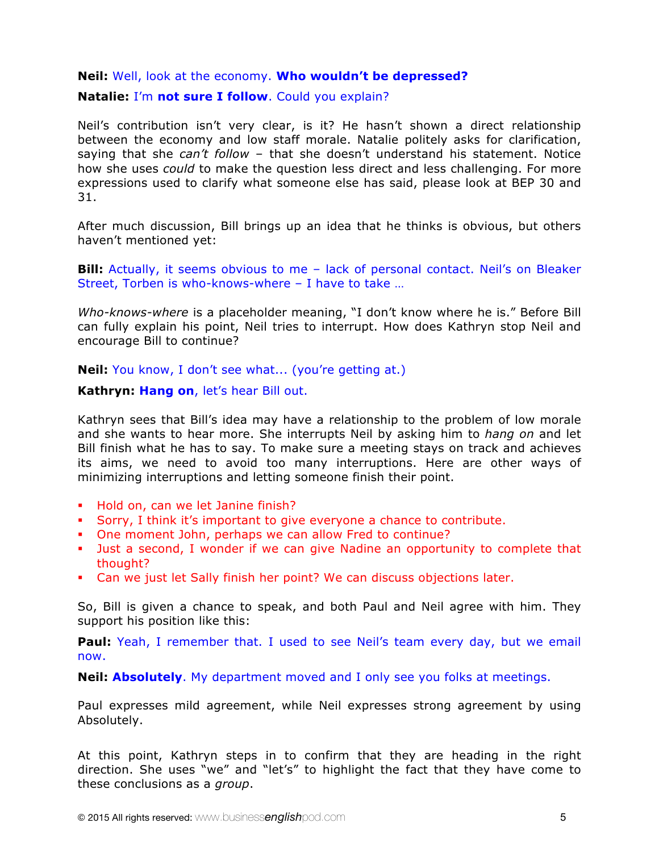### **Neil:** Well, look at the economy. **Who wouldn't be depressed?**

### **Natalie:** I'm **not sure I follow**. Could you explain?

Neil's contribution isn't very clear, is it? He hasn't shown a direct relationship between the economy and low staff morale. Natalie politely asks for clarification, saying that she *can't follow* – that she doesn't understand his statement. Notice how she uses *could* to make the question less direct and less challenging. For more expressions used to clarify what someone else has said, please look at BEP 30 and 31.

After much discussion, Bill brings up an idea that he thinks is obvious, but others haven't mentioned yet:

**Bill:** Actually, it seems obvious to me – lack of personal contact. Neil's on Bleaker Street, Torben is who-knows-where – I have to take …

*Who-knows-where* is a placeholder meaning, "I don't know where he is." Before Bill can fully explain his point, Neil tries to interrupt. How does Kathryn stop Neil and encourage Bill to continue?

**Neil:** You know, I don't see what... (you're getting at.)

### **Kathryn: Hang on**, let's hear Bill out.

Kathryn sees that Bill's idea may have a relationship to the problem of low morale and she wants to hear more. She interrupts Neil by asking him to *hang on* and let Bill finish what he has to say. To make sure a meeting stays on track and achieves its aims, we need to avoid too many interruptions. Here are other ways of minimizing interruptions and letting someone finish their point.

- § Hold on, can we let Janine finish?
- § Sorry, I think it's important to give everyone a chance to contribute.
- § One moment John, perhaps we can allow Fred to continue?
- Just a second, I wonder if we can give Nadine an opportunity to complete that thought?
- Can we just let Sally finish her point? We can discuss objections later.

So, Bill is given a chance to speak, and both Paul and Neil agree with him. They support his position like this:

**Paul:** Yeah, I remember that. I used to see Neil's team every day, but we email now.

**Neil: Absolutely**. My department moved and I only see you folks at meetings.

Paul expresses mild agreement, while Neil expresses strong agreement by using Absolutely.

At this point, Kathryn steps in to confirm that they are heading in the right direction. She uses "we" and "let's" to highlight the fact that they have come to these conclusions as a *group*.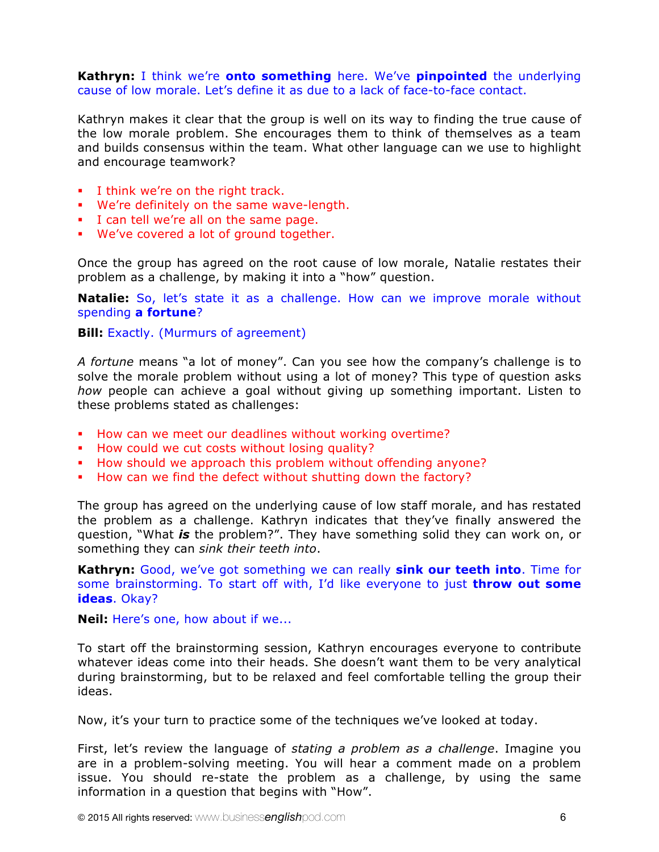#### **Kathryn:** I think we're **onto something** here. We've **pinpointed** the underlying cause of low morale. Let's define it as due to a lack of face-to-face contact.

Kathryn makes it clear that the group is well on its way to finding the true cause of the low morale problem. She encourages them to think of themselves as a team and builds consensus within the team. What other language can we use to highlight and encourage teamwork?

- § I think we're on the right track.
- § We're definitely on the same wave-length.
- § I can tell we're all on the same page.
- § We've covered a lot of ground together.

Once the group has agreed on the root cause of low morale, Natalie restates their problem as a challenge, by making it into a "how" question.

**Natalie:** So, let's state it as a challenge. How can we improve morale without spending **a fortune**?

**Bill:** Exactly. (Murmurs of agreement)

*A fortune* means "a lot of money". Can you see how the company's challenge is to solve the morale problem without using a lot of money? This type of question asks *how* people can achieve a goal without giving up something important. Listen to these problems stated as challenges:

- § How can we meet our deadlines without working overtime?
- § How could we cut costs without losing quality?
- § How should we approach this problem without offending anyone?
- § How can we find the defect without shutting down the factory?

The group has agreed on the underlying cause of low staff morale, and has restated the problem as a challenge. Kathryn indicates that they've finally answered the question, "What *is* the problem?". They have something solid they can work on, or something they can *sink their teeth into*.

**Kathryn:** Good, we've got something we can really **sink our teeth into**. Time for some brainstorming. To start off with, I'd like everyone to just **throw out some ideas**. Okay?

**Neil:** Here's one, how about if we...

To start off the brainstorming session, Kathryn encourages everyone to contribute whatever ideas come into their heads. She doesn't want them to be very analytical during brainstorming, but to be relaxed and feel comfortable telling the group their ideas.

Now, it's your turn to practice some of the techniques we've looked at today.

First, let's review the language of *stating a problem as a challenge*. Imagine you are in a problem-solving meeting. You will hear a comment made on a problem issue. You should re-state the problem as a challenge, by using the same information in a question that begins with "How".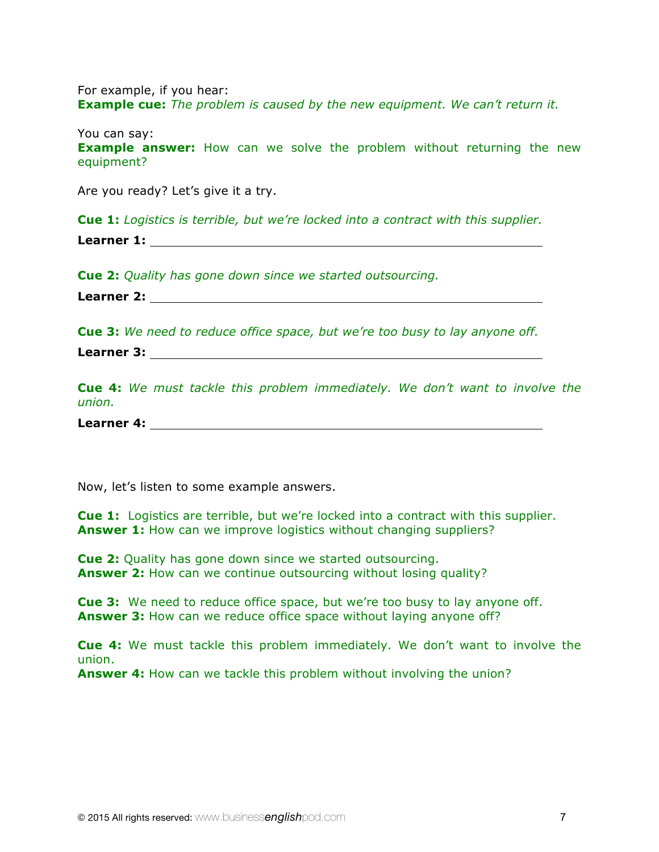For example, if you hear: **Example cue:** *The problem is caused by the new equipment. We can't return it.* 

You can say: **Example answer:** How can we solve the problem without returning the new equipment?

Are you ready? Let's give it a try.

**Cue 1:** *Logistics is terrible, but we're locked into a contract with this supplier.* **Learner 1:** 

**Cue 2:** *Quality has gone down since we started outsourcing.* 

**Learner 2:** 

**Cue 3:** *We need to reduce office space, but we're too busy to lay anyone off.* 

**Learner 3:** 

**Cue 4:** *We must tackle this problem immediately. We don't want to involve the union.*

**Learner 4:** 

Now, let's listen to some example answers.

**Cue 1:** Logistics are terrible, but we're locked into a contract with this supplier. **Answer 1:** How can we improve logistics without changing suppliers?

**Cue 2:** Quality has gone down since we started outsourcing. **Answer 2:** How can we continue outsourcing without losing quality?

**Cue 3:** We need to reduce office space, but we're too busy to lay anyone off. **Answer 3:** How can we reduce office space without laying anyone off?

**Cue 4:** We must tackle this problem immediately. We don't want to involve the union.

**Answer 4:** How can we tackle this problem without involving the union?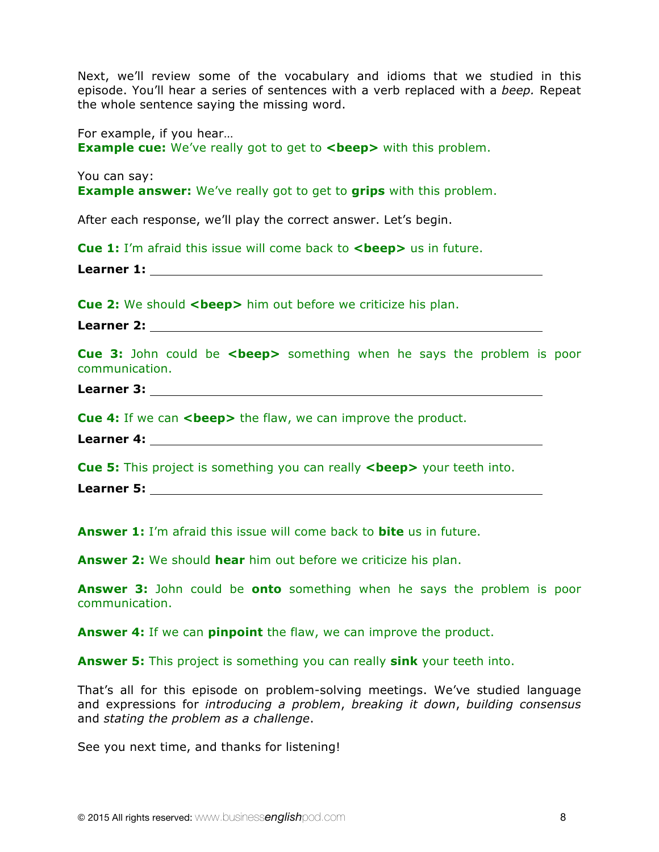Next, we'll review some of the vocabulary and idioms that we studied in this episode. You'll hear a series of sentences with a verb replaced with a *beep.* Repeat the whole sentence saying the missing word.

For example, if you hear… **Example cue:** We've really got to get to **<br/>beep>** with this problem.

You can say: **Example answer:** We've really got to get to **grips** with this problem.

After each response, we'll play the correct answer. Let's begin.

**Cue 1:** I'm afraid this issue will come back to **<br/>beep>** us in future.

**Learner 1:** 

**Cue 2:** We should <br /> **Cue 2:** We should <br /> **Cue 2:** We should <br /> **Cue 2:** We should <br /> **Cue 2:** We should <br /> **Cue 2:** We should <br /> **Cue 2:** We should <br /> **Cue 2:** We should <br /> **Cue 2:** We sh

**Learner 2:** 

**Cue 3:** John could be <br >> **Something when he says the problem is poor** communication.

**Learner 3:** 

**Cue 4:** If we can **<br />beep>** the flaw, we can improve the product.

**Learner 4:** 

**Cue 5:** This project is something you can really **<br/>beep>** your teeth into.

**Learner 5:** 

**Answer 1:** I'm afraid this issue will come back to **bite** us in future.

**Answer 2:** We should **hear** him out before we criticize his plan.

**Answer 3:** John could be **onto** something when he says the problem is poor communication.

**Answer 4:** If we can **pinpoint** the flaw, we can improve the product.

**Answer 5:** This project is something you can really **sink** your teeth into.

That's all for this episode on problem-solving meetings. We've studied language and expressions for *introducing a problem*, *breaking it down*, *building consensus* and *stating the problem as a challenge*.

See you next time, and thanks for listening!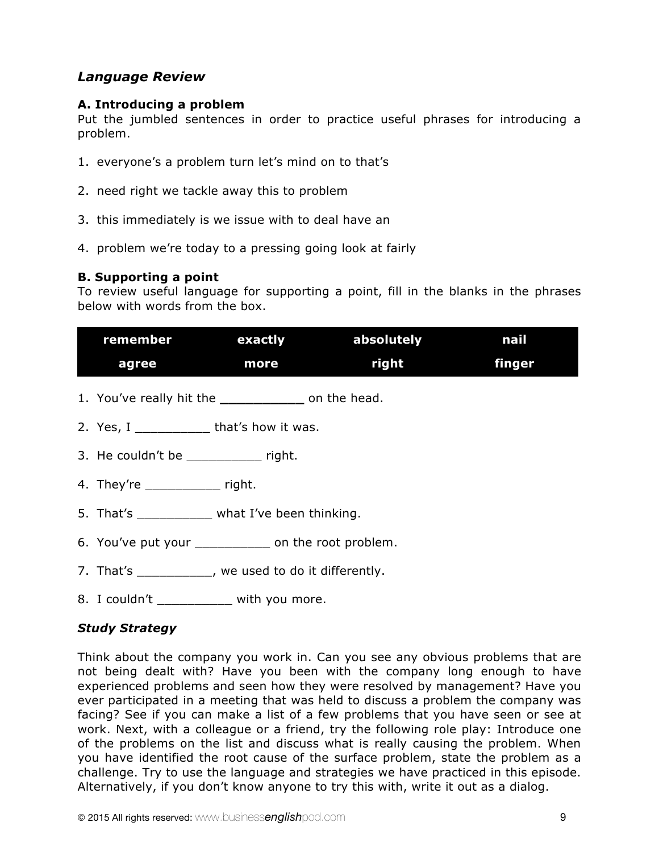### *Language Review*

#### **A. Introducing a problem**

Put the jumbled sentences in order to practice useful phrases for introducing a problem.

- 1. everyone's a problem turn let's mind on to that's
- 2. need right we tackle away this to problem
- 3. this immediately is we issue with to deal have an
- 4. problem we're today to a pressing going look at fairly

### **B. Supporting a point**

To review useful language for supporting a point, fill in the blanks in the phrases below with words from the box.

|                                                      |             | remember exactly absolutely | nail   |
|------------------------------------------------------|-------------|-----------------------------|--------|
| agree                                                | <b>nore</b> | right                       | finger |
| 1. You've really hit the ______________ on the head. |             |                             |        |
|                                                      |             |                             |        |
| 3. He couldn't be right.                             |             |                             |        |
| 4. They're _______________ right.                    |             |                             |        |
| 5. That's _____________ what I've been thinking.     |             |                             |        |
| 6. You've put your ____________ on the root problem. |             |                             |        |
| 7. That's __________, we used to do it differently.  |             |                             |        |
| 8. I couldn't _____________ with you more.           |             |                             |        |

### *Study Strategy*

Think about the company you work in. Can you see any obvious problems that are not being dealt with? Have you been with the company long enough to have experienced problems and seen how they were resolved by management? Have you ever participated in a meeting that was held to discuss a problem the company was facing? See if you can make a list of a few problems that you have seen or see at work. Next, with a colleague or a friend, try the following role play: Introduce one of the problems on the list and discuss what is really causing the problem. When you have identified the root cause of the surface problem, state the problem as a challenge. Try to use the language and strategies we have practiced in this episode. Alternatively, if you don't know anyone to try this with, write it out as a dialog.